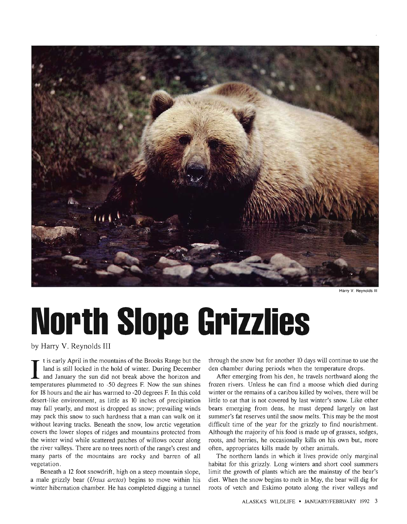

Harry V. Reynolds III

## **North Slope Grizzlies**

by Harry V. Reynolds III

I t is early April in the mountains of the Brooks Range but the land is still locked in the hold of winter. During December and January the sun did not break above the horizon and land is still locked in the hold of winter. During December temperatures plummeted to -50 degrees F. Now the sun shines for 18 hours and the air has warmed to  $-20$  degrees F. In this cold desert-like environment, as little as 10 inches of precipitation may fall yearly, and most is dropped as snow; prevailing winds may pack this snow to such hardness that a man can walk on it without leaving tracks. Beneath the snow, low arctic vegetation covers the lower slopes of ridges and mountains protected from the winter wind while scattered patches of willows occur along the river valleys. There are no trees north of the range's crest and many parts of the mountains are rocky and barren of all vegetation.

Beneath a 12 foot snowdrift, high on a steep mountain slope, a male grizzly bear *(Ursus arctos)* begins to move within his winter hibernation chamber. He has completed digging a tunnel through the snow but for another 10 days will continue to use the den chamber during periods when the temperature drops.

After emerging from his den, he travels northward along the frozen rivers. Unless he can find a moose which died during winter or the remains of a caribou killed by wolves, there will be little to eat that is not covered by last winter's snow. Like other bears emerging from dens, he must depend largely on last summer's fat reserves until the snow melts. This may be the most difficult time of the year for the grizzly to find nourishment. Although the majority of his food is made up of grasses, sedges, roots, and berries, he occasionally kills on his own but, more often, appropriates kills made by other animals.

The northern lands in which it lives provide only marginal habitat for this grizzly. Long winters and short cool summers limit the growth of plants which are the mainstay of the bear's diet. When the snow begins to melt in May, the bear will dig for roots of vetch and Eskimo potato along the river valleys and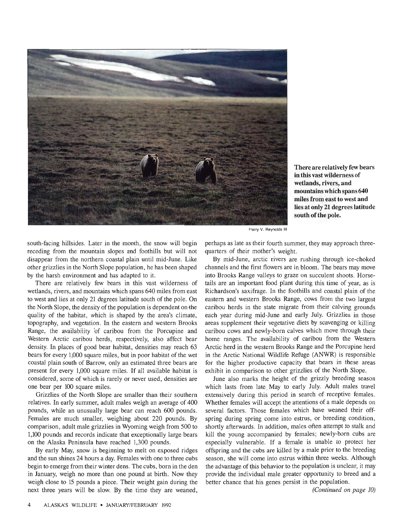

in this vast wilderness of wetlands, rivers, and mountains which spans 640 miles from east to west and lies at only 21 degrees latitude south of the pole. There are relatively few bears

Harry V. Reynolds III

south-facing hillsides. Later in the month, the snow will begin receding from the mountain slopes and foothills but will not disappear from the northern coastal plain until mid-June. Like other grizzlies in the North Slope population , he has been shaped by the harsh environment and has adapted to it.

There are relatively few bears in this vast wilderness of wetlands, rivers, and mountains which spans 640 miles from east to west and lies at only 21 degrees latitude south of the pole. On the North Slope, the density of the population is dependent on the quality of the habitat, which is shaped by the area's climate, topography, and vegetation. In the eastern and western Brooks Range, the availability 'of caribou from the Porcupine and Western Arctic caribou herds, respectively, also affect bear density. In places of good bear habitat, densities may reach 63 bears for every 1,000 square miles, but in poor habitat of the wet coastal plain south of Barrow, only an estimated three bears are present for every 1,000 square miles. If all available habitat is considered, some of which is rarely or never used, densities are one bear per 100 square miles.

Grizzlies of the North Slope are smaller than their southern relatives. In early summer, adult males weigh an average of 400 pounds, while an unusually large bear can reach 600 pounds. Females are much smaller, weighing about 220 pounds. By comparison, adult male grizzlies in Wyoming weigh from 500 to 1,100 pounds and records indicate that exceptionally large bears on the Alaska Peninsula have reached 1,300 pounds.

By early May, snow is beginning to melt on exposed ridges and the sun shines 24 hours a day. Females with one to three cubs begin to emerge from their winter dens. The cubs, born in the den in January, weigh no more than one pound at birth. Now they weigh close to 15 pounds a piece. Their weight gain during the next three years will be slow. By the time they are weaned,

perhaps as late as their fourth summer, they may approach threequarters of their mother's weight.

By mid-June, arctic rivers are rushing through ice-choked channels and the first flowers are in bloom : The bears may move into Brooks Range valleys to graze on succulent shoots. Horsetails are an important food plant during this time of year, as is Richardson's saxifrage. In the foothills and coastal plain of the eastern and western Brooks Range, cows from the two largest caribou herds in the state migrate from their calving grounds each year during mid-June and early July. Grizzlies in those areas supplement their vegetative diets by scavenging or killing caribou cows and newly-born calves which move through their home ranges. The availability of caribou from the Western Arctic herd in the western Brooks Range and the Porcupine herd in the Arctic National Wildlife Refuge (ANWR) is responsible for the higher productive capacity that bears in these areas exhibit in comparison to other grizzlies of the North Slope.

June also marks the height of the grizzly breeding season which lasts from late May to early July. Adult males travel extensively during this period in search of receptive females. Whether females will accept the attentions of a male depends on several factors. Those females which have weaned their offspring during spring come into estrus, or breeding condition, shortly afterwards. In addition, males often attempt to stalk and kill the young accompanied by females; newly-born cubs are especially vulnerable. If a female is unable to protect her offspring and the cubs are killed by a male prior to the breeding season, she will come into estrus within three weeks . Although the advantage of this behavior to the population is unclear, it may provide the individual male greater opportunity to breed and a better chance that his genes persist in the population.

*(Continued on page 10)*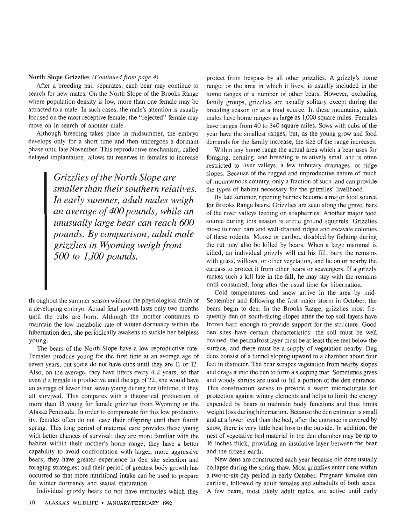## North Slope Grizzlies *(Continued from page 4)*

After a breeding pair separates, each bear may continue to search for new mates. On the North Slope of the Brooks Range where population density is low, more than one female may be attracted to a male. In such cases , the male's attention is usually focused on the most receptive female; the "rejected" female may move on in search of another male.

Although breeding takes place in midsummer, the embryo develops only for a short time and then undergoes a dormant phase until late November. This reproductive mechanism, called delayed implantation, allows fat reserves in females to increase

> *Grizzlies ofthe North Slope are smaller than their southern relatives. In early summer, adult males weigh an average of400 pounds, while an unusually large bear can reach 600 pounds. By comparison, adult male grizzlies in flYoming weigh from 500 to 1,100 pounds.*

throughout the summer season without the physiological drain of a developing embryo. Actual fetal growth lasts only two months until the cubs are born. Although the mother continues to maintain the low metabolic rate of winter dormancy within the hibernation den, she periodically awakens to suckle her helpless young.

The bears of the North Slope have a low reproductive rate. Females produce young for the first time at an average age of seven years, but some do not have cubs until they are 11 or 12. Also, on the average, they have litters every 4 .2 years, so that even if a female is productive until the age of 22, she would have an average of fewer than seven young during her lifetime, if they all survived. This compares with a theoretical production of more than 13 young for female grizzlies from Wyoming or the Alaska Peninsula. In order to compensate for this low productivity, females often do not leave their offspring until their fourth spring. This long period of maternal care provides these young with better chances of survival: they are more familiar with the habitat within their mother's home range; they have a better capability to avoid confrontation with larger, more aggressive bears; they have greater experience in den site selection and foraging strategies; and their period of greatest body growth has occurred so that more nutritional intake can be used to prepare for winter dormancy and sexual maturation.

Individual grizzly bears do not have territories which they

protect from trespass by all other grizzlies. A grizzly's home range, or the area in which it lives, is usually included in the home ranges of a number of other bears. However, excluding family groups, grizzlies are usually solitary except during the breeding season or at a food source . In these mountains, adult males have home ranges as large as 1,000 square miles. Females have ranges from 40 to 340 square miles. Sows with cubs of the year have the smallest ranges, but, as the young grow and food demands for the family increase, the size of the range increases.

Within any home range the actual area which a bear uses for foraging, denning, and breeding is relatively small and is often restricted to river valleys, a few tributary drainages, or ridge slopes. Because of the rugged and unproductive nature of much of mountainous country, only a fraction of such land can provide the types of habitat necessary for the grizzlies' livelihood .

By late summer, ripening berries become a major food source for Brooks Range bears. Grizzlies are seen along the gravel bars of the river valleys feeding on soapberries . Another major food source during this season is arctic ground squirrels. Grizzlies move to river bars and well-drained ridges and excavate colonies of these rodents. Moose or caribou disabled by fighting during the rut may also be killed by bears. When a large mammal is killed, an individual grizzly will eat his fill, bury the remains with grass, willows, or other vegetation, and lie on or nearby the carcass to protect it from other bears or scavengers. If a grizzly makes such a kill late in the fall, he may stay with the remains until consumed, long after the usual time for hibernation.

Cold temperatures and snow arrive in the area by mid-September and following the first major storm in October, the bears begin to den. In the Brooks Range, grizzlies most frequently den on south-facing slopes after the top soil layers have frozen hard enough to provide support for the structure. Good den sites have certain characteristics: the soil must be well drained, the permafrost layer must be at least three feet below the surface, and there must be a supply of vegetation nearby. Dug dens consist of a tunnel sloping upward to a chamber about four feet in diameter. The bear scrapes vegetation from nearby slopes and drags it into the den to form a sleeping mat. Sometimes grass and woody shrubs are used to fill a portion of the den entrance . This construction serves to provide a warm microclimate for protection against wintry elements and helps to limit the energy expended by bears to maintain body functions and thus limits weight loss during hibernation. Because the den entrance is small and at a lower level than the bed, after the entrance is covered by snow, there is very little heat loss to the outside . In addition, the nest of vegetative bed material in the den chamber may be up to 16 inches thick , providing an insulative layer between the bear and the frozen earth.

New dens are constructed each year because old dens usually collapse during the spring thaw. Most grizzlies enter dens within a two-to-six-day period in early October. Pregnant females den earliest, followed by adult females and subadults of both sexes. A few bears, most likely adult males, are active until early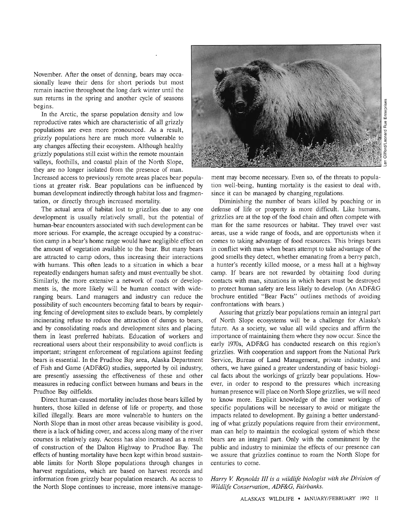November. After the onset of denning, bears may occasionally leave their dens for short periods but most remain inactive throughout the long dark winter until the sun returns in the spring and another cycle of seasons begins.

In the Arctic, the sparse population density and low reproductive rates which are characteristic of all grizzly populations are even more pronounced. As a result, grizzly populations here are much more vulnerable to any changes affecting their ecosystem. Although healthy grizzly populations still exist within the remote mountain valleys, foothills, and coastal plain of the North Slope, they are no longer isolated from the presence of man.

Increased access to previously remote areas places bear populations at greater risk. Bear populations can be influenced by human development indirectly through habitat loss and fragmentation, or directly through increased mortality.

The actual area of habitat lost to grizzlies due to any one development is usually relatively small, but the potential of human-bear encounters associated with such development can be more serious. For example, the acreage occupied by a construction camp in a bear's home range would have negligible effect on the amount of vegetation available to the bear. But many bears are attracted to camp odors, thus increasing their interactions with humans. This often leads to a situation in which a bear repeatedly endangers human safety and must eventually be shot. Similarly, the more extensive a network of roads or developments is, the more likely will be human contact with wideranging bears. Land managers and industry can reduce the possibility of such encounters becoming fatal to bears by requiring fencing of development sites to exclude bears, by completely incinerating refuse to reduce the attraction of dumps to bears, and by consolidating roads and development sites and placing them in least preferred habitats. Education of workers and recreational users about their responsibility to avoid conflicts is important; stringent enforcement of regulations against feeding bears is essential. In the Prudhoe Bay area, Alaska Department of Fish and Game (ADF&G) studies, supported by oil industry, are presently assessing the effectiveness of these and other measures in reducing conflict between humans and bears in the Prudhoe Bay oilfields.

Direct human-caused mortality includes those bears killed by hunters, those killed in defense of life or property, and those killed illegally. Bears are more vulnerable to hunters on the North Slope than in most other areas because visibility is good, there is a lack of hiding cover, and access along many of the river courses is relatively easy. Access has also increased as a result of construction of the Dalton Highway to Prudhoe Bay. The effects of hunting mortality have been kept within broad sustainable limits for North Slope populations through changes in harvest regulations, which are based on harvest records and information from grizzly bear population research . As access to the North Slope continues to increase, more intensive manage-



ment may become necessary. Even so, of the threats to population well-being, hunting mortality is the easiest to deal with, since it can be managed by changing regulations.

Diminishing the number of bears killed by poaching or in defense of life or property is more difficult. Like humans, grizzlies are at the top of the food chain and often compete with man for the same resources or habitat. They travel over vast areas, use a wide range of foods, and are opportunists when it comes to taking advantage of food resources . This brings bears in conflict with man when bears attempt to take advantage of the good smells they detect, whether emanating from a berry patch, a hunter's recently killed moose, or a mess hall at a highway camp. If bears are not rewarded by obtaining food during contacts with man, situations in which bears must be destroyed to protect human safety are less likely to develop. (An ADF&G brochure entitled "Bear Facts" outlines methods of avoiding confrontations with bears.)

Assuring that grizzly bear populations remain an integral part of North Slope ecosystems will be a challenge for Alaska's future. As a society, we value all wild species and affirm the importance of maintaining them where they now occur. Since the early 1970s, ADF&G has conducted research on this region's grizzlies. With cooperation and support from the National Park Service, Bureau of Land Management, private industry, and others, we have gained a greater understanding of basic biological facts about the workings of grizzly bear populations . However, in order to respond to the pressures which increasing human presence will place on North Slope grizzlies, we will need to know more. Explicit knowledge of the inner workings of specific populations will be necessary to avoid or mitigate the impacts related to development. By gaining a better understanding of what grizzly populations require from their environment, man can help to maintain the ecological system of which these bears are an integral part. Only with the commitment by the public and industry to minimize the effects of our presence can we assure that grizzlies continue to roam the North Slope for centuries to come .

*Harry V. Reynolds III is a wildlife biologist with the Division of Wildlife Conservation, ADF&G, Fairbanks.*